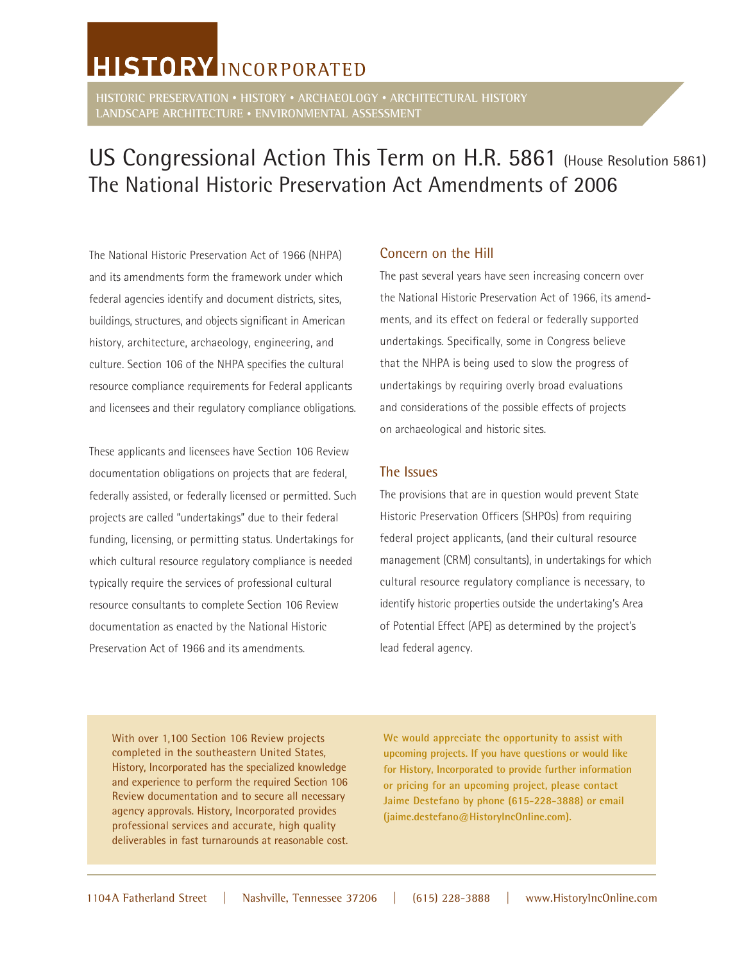# **HISTORY** INCORPORATED

**HISTORIC PRESERVATION • HISTORY • ARCHAEOLOGY • ARCHITECTURAL HISTORY LANDSCAPE ARCHITECTURE • ENVIRONMENTAL ASSESSMENT**

## US Congressional Action This Term on H.R. 5861 (House Resolution 5861) The National Historic Preservation Act Amendments of 2006

The National Historic Preservation Act of 1966 (NHPA) and its amendments form the framework under which federal agencies identify and document districts, sites, buildings, structures, and objects significant in American history, architecture, archaeology, engineering, and culture. Section 106 of the NHPA specifies the cultural resource compliance requirements for Federal applicants and licensees and their regulatory compliance obligations.

These applicants and licensees have Section 106 Review documentation obligations on projects that are federal, federally assisted, or federally licensed or permitted. Such projects are called "undertakings" due to their federal funding, licensing, or permitting status. Undertakings for which cultural resource regulatory compliance is needed typically require the services of professional cultural resource consultants to complete Section 106 Review documentation as enacted by the National Historic Preservation Act of 1966 and its amendments.

### Concern on the Hill

The past several years have seen increasing concern over the National Historic Preservation Act of 1966, its amendments, and its effect on federal or federally supported undertakings. Specifically, some in Congress believe that the NHPA is being used to slow the progress of undertakings by requiring overly broad evaluations and considerations of the possible effects of projects on archaeological and historic sites.

#### The Issues

The provisions that are in question would prevent State Historic Preservation Officers (SHPOs) from requiring federal project applicants, (and their cultural resource management (CRM) consultants), in undertakings for which cultural resource regulatory compliance is necessary, to identify historic properties outside the undertaking's Area of Potential Effect (APE) as determined by the project's lead federal agency.

With over 1,100 Section 106 Review projects completed in the southeastern United States, History, Incorporated has the specialized knowledge and experience to perform the required Section 106 Review documentation and to secure all necessary agency approvals. History, Incorporated provides professional services and accurate, high quality deliverables in fast turnarounds at reasonable cost. **We would appreciate the opportunity to assist with upcoming projects. If you have questions or would like for History, Incorporated to provide further information or pricing for an upcoming project, please contact Jaime Destefano by phone (615-228-3888) or email (jaime.destefano@HistoryIncOnline.com).**